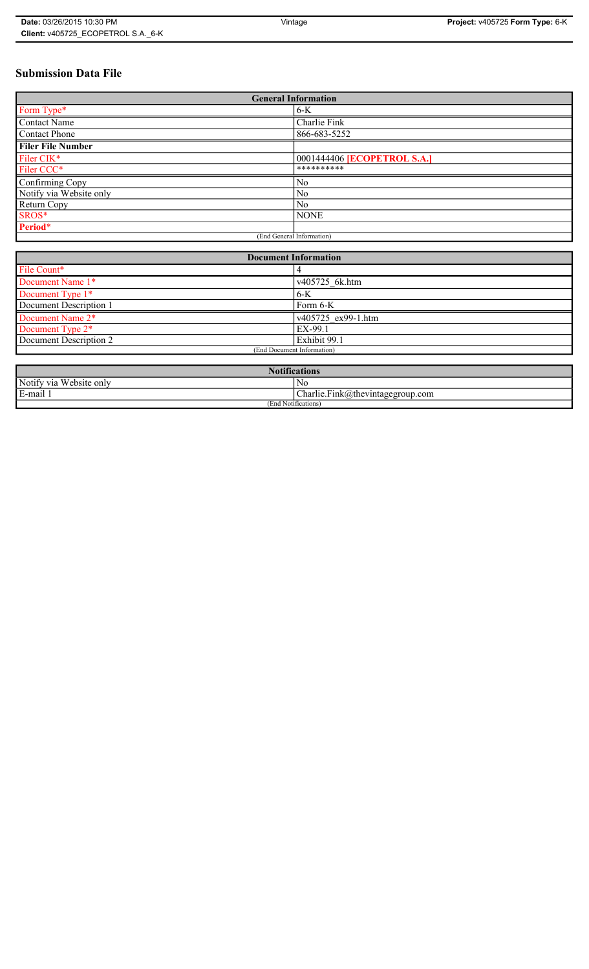# **Submission Data File**

| <b>General Information</b> |                                    |
|----------------------------|------------------------------------|
| Form Type*                 | $6-K$                              |
| <b>Contact Name</b>        | Charlie Fink                       |
| Contact Phone              | 866-683-5252                       |
| <b>Filer File Number</b>   |                                    |
| Filer CIK*                 | 0001444406 <b>[ECOPETROL S.A.]</b> |
| Filer CCC*                 | **********                         |
| Confirming Copy            | No                                 |
| Notify via Website only    | N <sub>0</sub>                     |
| Return Copy                | N <sub>0</sub>                     |
| SROS*                      | <b>NONE</b>                        |
| Period*                    |                                    |
| (End General Information)  |                                    |

| <b>Document Information</b> |                    |
|-----------------------------|--------------------|
| File Count*                 |                    |
| Document Name 1*            | v405725 6k.htm     |
| Document Type 1*            | $6-K$              |
| Document Description 1      | Form 6-K           |
| Document Name 2*            | v405725 ex99-1.htm |
| Document Type 2*            | EX-99.1            |
| Document Description 2      | Exhibit 99.1       |
| (End Document Information)  |                    |
|                             |                    |

| <b>Notifications</b>         |                                                                 |
|------------------------------|-----------------------------------------------------------------|
| Notify via<br>U Website only | N0                                                              |
| E-mail<br>$\blacksquare$     | $\mathbf{r}$<br>$\sim$<br>$Charlie.Fink(a)$ thevintagegroup.com |
| (End Notifications)          |                                                                 |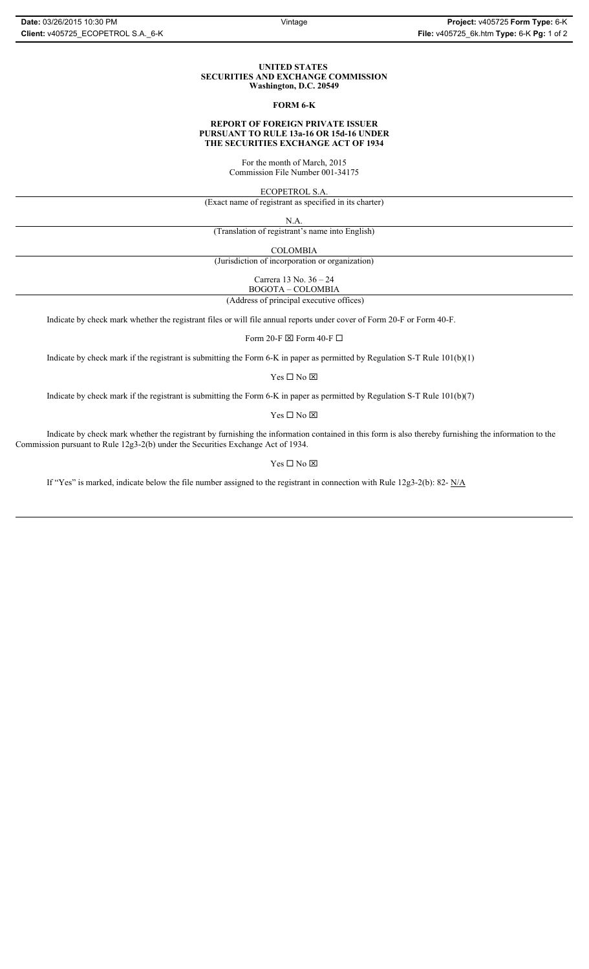#### **UNITED STATES SECURITIES AND EXCHANGE COMMISSION Washington, D.C. 20549**

#### **FORM 6-K**

## **REPORT OF FOREIGN PRIVATE ISSUER PURSUANT TO RULE 13a-16 OR 15d-16 UNDER THE SECURITIES EXCHANGE ACT OF 1934**

For the month of March, 2015 Commission File Number 001-34175

ECOPETROL S.A.

(Exact name of registrant as specified in its charter)

N.A.

(Translation of registrant's name into English)

COLOMBIA

(Jurisdiction of incorporation or organization)

Carrera 13 No. 36 – 24

 (Address of principal executive offices) BOGOTA – COLOMBIA

Indicate by check mark whether the registrant files or will file annual reports under cover of Form 20-F or Form 40-F.

Form 20-F  $\boxtimes$  Form 40-F  $\Box$ 

Indicate by check mark if the registrant is submitting the Form 6-K in paper as permitted by Regulation S-T Rule 101(b)(1)

 $Yes \Box No \boxtimes$ 

Indicate by check mark if the registrant is submitting the Form 6-K in paper as permitted by Regulation S-T Rule 101(b)(7)

 $\mathbf{Y}\mathbf{es} \ \Box \ \mathbf{No} \ \overline{\mathbf{\mathbf{\Xi}}}$ 

Indicate by check mark whether the registrant by furnishing the information contained in this form is also thereby furnishing the information to the Commission pursuant to Rule 12g3-2(b) under the Securities Exchange Act of 1934.

### $Yes \Box No \boxtimes$

If "Yes" is marked, indicate below the file number assigned to the registrant in connection with Rule 12g3-2(b): 82- N/A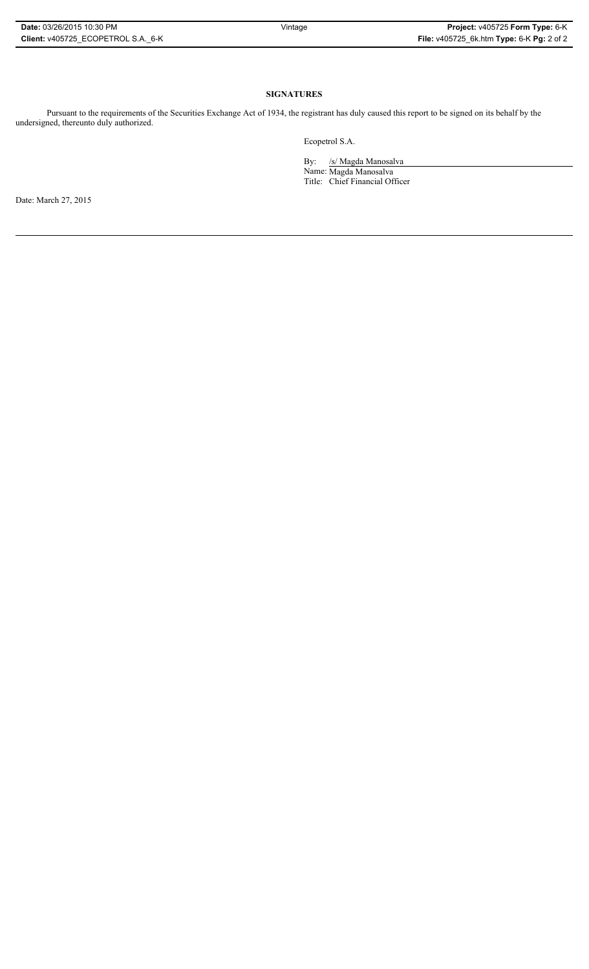# **SIGNATURES**

Pursuant to the requirements of the Securities Exchange Act of 1934, the registrant has duly caused this report to be signed on its behalf by the undersigned, thereunto duly authorized.

Ecopetrol S.A.

By: /s/ Magda Manosalva Name: Magda Manosalva Title: Chief Financial Officer

Date: March 27, 2015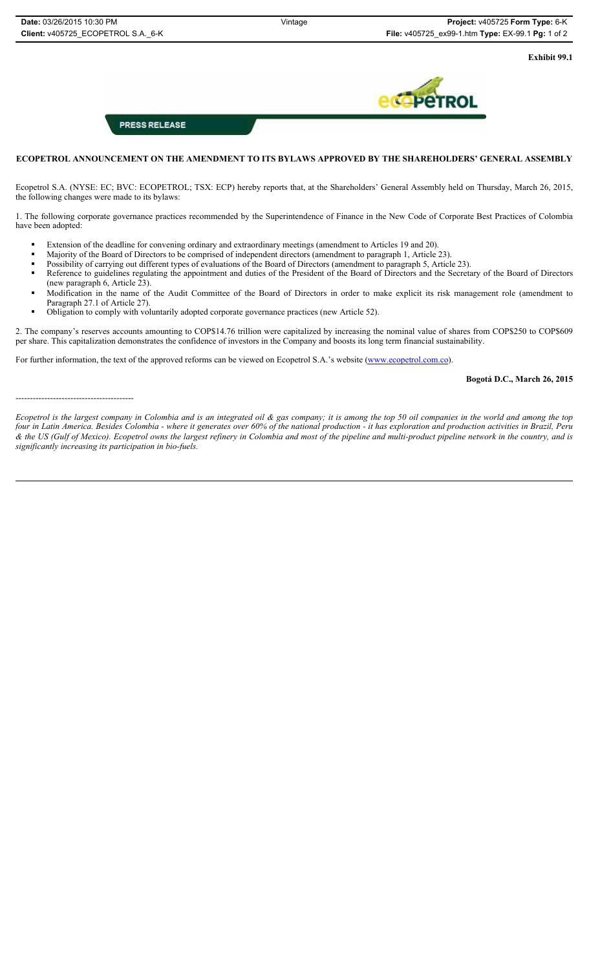**Exhibit 99.1**

**PRESS RELEASE** 

# **ECOPETROL ANNOUNCEMENT ON THE AMENDMENT TO ITS BYLAWS APPROVED BY THE SHAREHOLDERS' GENERAL ASSEMBLY**

Ecopetrol S.A. (NYSE: EC; BVC: ECOPETROL; TSX: ECP) hereby reports that, at the Shareholders' General Assembly held on Thursday, March 26, 2015, the following changes were made to its bylaws:

1. The following corporate governance practices recommended by the Superintendence of Finance in the New Code of Corporate Best Practices of Colombia have been adopted:

- Extension of the deadline for convening ordinary and extraordinary meetings (amendment to Articles 19 and 20).
- Majority of the Board of Directors to be comprised of independent directors (amendment to paragraph 1, Article 23).
- Possibility of carrying out different types of evaluations of the Board of Directors (amendment to paragraph 5, Article 23).
- Reference to guidelines regulating the appointment and duties of the President of the Board of Directors and the Secretary of the Board of Directors (new paragraph 6, Article 23).
- Modification in the name of the Audit Committee of the Board of Directors in order to make explicit its risk management role (amendment to Paragraph 27.1 of Article 27).
- Obligation to comply with voluntarily adopted corporate governance practices (new Article 52).

2. The company's reserves accounts amounting to COP\$14.76 trillion were capitalized by increasing the nominal value of shares from COP\$250 to COP\$609 per share. This capitalization demonstrates the confidence of investors in the Company and boosts its long term financial sustainability.

For further information, the text of the approved reforms can be viewed on Ecopetrol S.A.'s website (www.ecopetrol.com.co).

**Bogotá D.C., March 26, 2015**

#### -----------------------------------------

*Ecopetrol is the largest company in Colombia and is an integrated oil & gas company; it is among the top 50 oil companies in the world and among the top four in Latin America. Besides Colombia - where it generates over 60% of the national production - it has exploration and production activities in Brazil, Peru & the US (Gulf of Mexico). Ecopetrol owns the largest refinery in Colombia and most of the pipeline and multi-product pipeline network in the country, and is significantly increasing its participation in bio-fuels.*